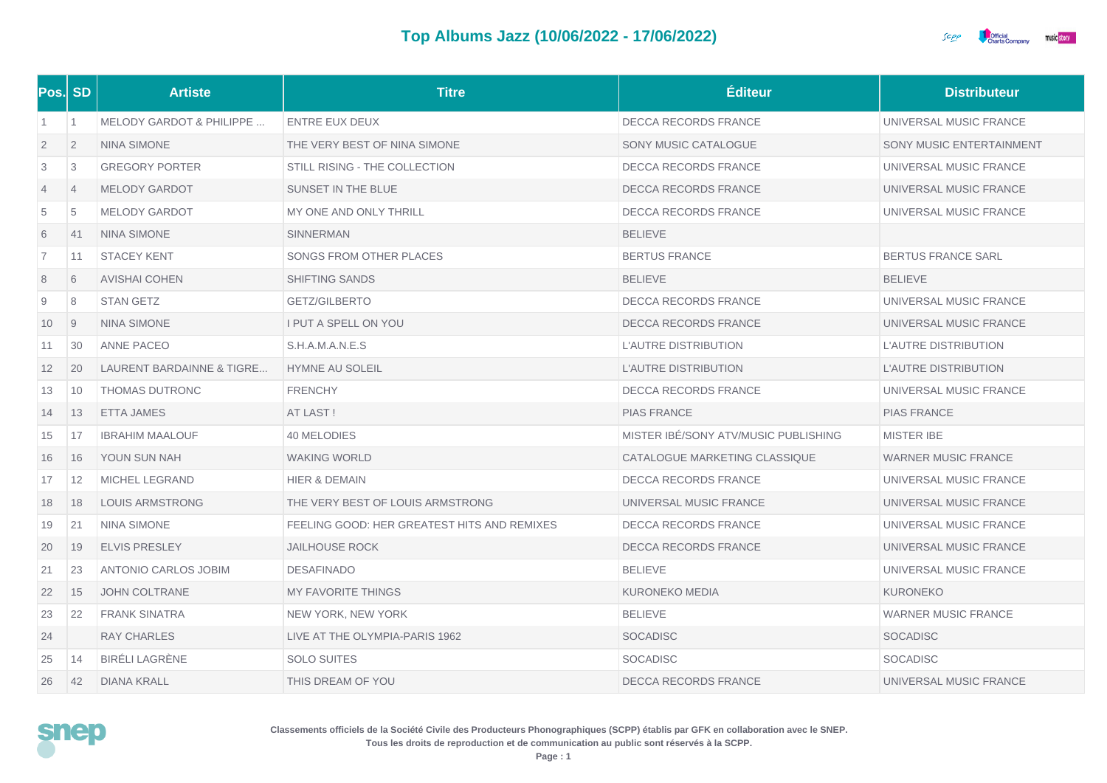

| Pos. SD        |                | <b>Artiste</b>                      | <b>Titre</b>                                | Éditeur                              | <b>Distributeur</b>        |
|----------------|----------------|-------------------------------------|---------------------------------------------|--------------------------------------|----------------------------|
| $\overline{1}$ | $\overline{1}$ | <b>MELODY GARDOT &amp; PHILIPPE</b> | ENTRE EUX DEUX                              | <b>DECCA RECORDS FRANCE</b>          | UNIVERSAL MUSIC FRANCE     |
| $\overline{2}$ | $\overline{2}$ | <b>NINA SIMONE</b>                  | THE VERY BEST OF NINA SIMONE                | SONY MUSIC CATALOGUE                 | SONY MUSIC ENTERTAINMENT   |
| 3              | 3              | <b>GREGORY PORTER</b>               | STILL RISING - THE COLLECTION               | DECCA RECORDS FRANCE                 | UNIVERSAL MUSIC FRANCE     |
| 4              | $\overline{4}$ | <b>MELODY GARDOT</b>                | SUNSET IN THE BLUE                          | <b>DECCA RECORDS FRANCE</b>          | UNIVERSAL MUSIC FRANCE     |
| 5              | 5              | <b>MELODY GARDOT</b>                | MY ONE AND ONLY THRILL                      | <b>DECCA RECORDS FRANCE</b>          | UNIVERSAL MUSIC FRANCE     |
| 6              | 41             | <b>NINA SIMONE</b>                  | <b>SINNERMAN</b>                            | <b>BELIEVE</b>                       |                            |
| $\overline{7}$ | 11             | <b>STACEY KENT</b>                  | SONGS FROM OTHER PLACES                     | <b>BERTUS FRANCE</b>                 | <b>BERTUS FRANCE SARL</b>  |
| 8              | 6              | <b>AVISHAI COHEN</b>                | <b>SHIFTING SANDS</b>                       | <b>BELIEVE</b>                       | <b>BELIEVE</b>             |
| 9              | 8              | <b>STAN GETZ</b>                    | GETZ/GILBERTO                               | <b>DECCA RECORDS FRANCE</b>          | UNIVERSAL MUSIC FRANCE     |
| 10             | 9              | <b>NINA SIMONE</b>                  | I PUT A SPELL ON YOU                        | DECCA RECORDS FRANCE                 | UNIVERSAL MUSIC FRANCE     |
| 11             | 30             | ANNE PACEO                          | S.H.A.M.A.N.E.S                             | <b>L'AUTRE DISTRIBUTION</b>          | L'AUTRE DISTRIBUTION       |
| 12             | 20             | LAURENT BARDAINNE & TIGRE           | <b>HYMNE AU SOLEIL</b>                      | L'AUTRE DISTRIBUTION                 | L'AUTRE DISTRIBUTION       |
| 13             | 10             | THOMAS DUTRONC                      | <b>FRENCHY</b>                              | DECCA RECORDS FRANCE                 | UNIVERSAL MUSIC FRANCE     |
| 14             | 13             | <b>ETTA JAMES</b>                   | AT LAST!                                    | <b>PIAS FRANCE</b>                   | <b>PIAS FRANCE</b>         |
| 15             | 17             | <b>IBRAHIM MAALOUF</b>              | 40 MELODIES                                 | MISTER IBE/SONY ATV/MUSIC PUBLISHING | MISTER IBE                 |
| 16             | 16             | YOUN SUN NAH                        | <b>WAKING WORLD</b>                         | CATALOGUE MARKETING CLASSIQUE        | <b>WARNER MUSIC FRANCE</b> |
| 17             | 12             | <b>MICHEL LEGRAND</b>               | HIER & DEMAIN                               | DECCA RECORDS FRANCE                 | UNIVERSAL MUSIC FRANCE     |
| 18             | 18             | <b>LOUIS ARMSTRONG</b>              | THE VERY BEST OF LOUIS ARMSTRONG            | UNIVERSAL MUSIC FRANCE               | UNIVERSAL MUSIC FRANCE     |
| 19             | 21             | <b>NINA SIMONE</b>                  | FEELING GOOD: HER GREATEST HITS AND REMIXES | <b>DECCA RECORDS FRANCE</b>          | UNIVERSAL MUSIC FRANCE     |
| 20             | 19             | <b>ELVIS PRESLEY</b>                | <b>JAILHOUSE ROCK</b>                       | <b>DECCA RECORDS FRANCE</b>          | UNIVERSAL MUSIC FRANCE     |
| 21             | 23             | ANTONIO CARLOS JOBIM                | <b>DESAFINADO</b>                           | <b>BELIEVE</b>                       | UNIVERSAL MUSIC FRANCE     |
| 22             | 15             | <b>JOHN COLTRANE</b>                | <b>MY FAVORITE THINGS</b>                   | <b>KURONEKO MEDIA</b>                | <b>KURONEKO</b>            |
| 23             | 22             | <b>FRANK SINATRA</b>                | NEW YORK, NEW YORK                          | <b>BELIEVE</b>                       | <b>WARNER MUSIC FRANCE</b> |
| 24             |                | RAY CHARLES                         | LIVE AT THE OLYMPIA-PARIS 1962              | <b>SOCADISC</b>                      | <b>SOCADISC</b>            |
| 25             | 14             | <b>BIRÉLI LAGRÈNE</b>               | <b>SOLO SUITES</b>                          | <b>SOCADISC</b>                      | <b>SOCADISC</b>            |
| 26             | 42             | <b>DIANA KRALL</b>                  | THIS DREAM OF YOU                           | <b>DECCA RECORDS FRANCE</b>          | UNIVERSAL MUSIC FRANCE     |



**Classements officiels de la Société Civile des Producteurs Phonographiques (SCPP) établis par GFK en collaboration avec le SNEP. Tous les droits de reproduction et de communication au public sont réservés à la SCPP.**